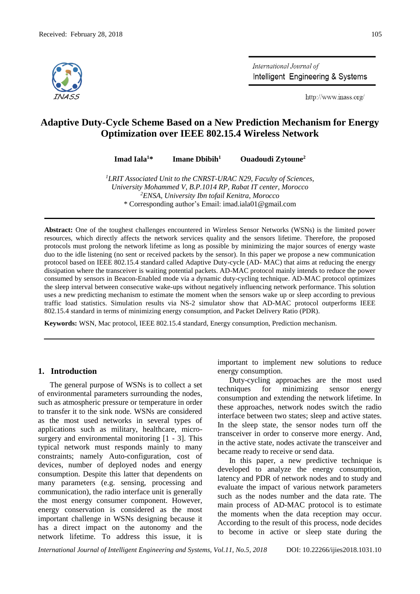

International Journal of Intelligent Engineering & Systems

http://www.inass.org/

# **Adaptive Duty-Cycle Scheme Based on a New Prediction Mechanism for Energy Optimization over IEEE 802.15.4 Wireless Network**

**Imad Iala<sup>1</sup>\* Imane Dbibih<sup>1</sup> Ouadoudi Zytoune<sup>2</sup>**

*<sup>1</sup>LRIT Associated Unit to the CNRST-URAC N29, Faculty of Sciences, University Mohammed V, B.P.1014 RP, Rabat IT center, Morocco <sup>2</sup>ENSA, University Ibn tofail Kenitra, Morocco* \* Corresponding author's Email: imad.iala01@gmail.com

**Abstract:** One of the toughest challenges encountered in Wireless Sensor Networks (WSNs) is the limited power resources, which directly affects the network services quality and the sensors lifetime. Therefore, the proposed protocols must prolong the network lifetime as long as possible by minimizing the major sources of energy waste duo to the idle listening (no sent or received packets by the sensor). In this paper we propose a new communication protocol based on IEEE 802.15.4 standard called Adaptive Duty-cycle (AD- MAC) that aims at reducing the energy dissipation where the transceiver is waiting potential packets. AD-MAC protocol mainly intends to reduce the power consumed by sensors in Beacon-Enabled mode via a dynamic duty-cycling technique. AD-MAC protocol optimizes the sleep interval between consecutive wake-ups without negatively influencing network performance. This solution uses a new predicting mechanism to estimate the moment when the sensors wake up or sleep according to previous traffic load statistics. Simulation results via NS-2 simulator show that AD-MAC protocol outperforms IEEE 802.15.4 standard in terms of minimizing energy consumption, and Packet Delivery Ratio (PDR).

**Keywords:** WSN, Mac protocol, IEEE 802.15.4 standard, Energy consumption, Prediction mechanism.

## **1. Introduction**

The general purpose of WSNs is to collect a set of environmental parameters surrounding the nodes, such as atmospheric pressure or temperature in order to transfer it to the sink node. WSNs are considered as the most used networks in several types of applications such as military, healthcare, microsurgery and environmental monitoring  $[1 - 3]$ . This typical network must responds mainly to many constraints; namely Auto-configuration, cost of devices, number of deployed nodes and energy consumption. Despite this latter that dependents on many parameters (e.g. sensing, processing and communication), the radio interface unit is generally the most energy consumer component. However, energy conservation is considered as the most important challenge in WSNs designing because it has a direct impact on the autonomy and the network lifetime. To address this issue, it is

important to implement new solutions to reduce energy consumption.

Duty-cycling approaches are the most used techniques for minimizing sensor energy consumption and extending the network lifetime. In these approaches, network nodes switch the radio interface between two states; sleep and active states. In the sleep state, the sensor nodes turn off the transceiver in order to conserve more energy. And, in the active state, nodes activate the transceiver and became ready to receive or send data.

In this paper, a new predictive technique is developed to analyze the energy consumption, latency and PDR of network nodes and to study and evaluate the impact of various network parameters such as the nodes number and the data rate. The main process of AD-MAC protocol is to estimate the moments when the data reception may occur. According to the result of this process, node decides to become in active or sleep state during the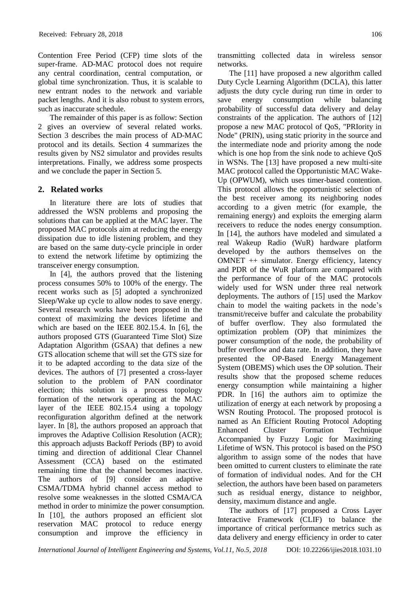Contention Free Period (CFP) time slots of the super-frame. AD-MAC protocol does not require any central coordination, central computation, or global time synchronization. Thus, it is scalable to new entrant nodes to the network and variable packet lengths. And it is also robust to system errors, such as inaccurate schedule.

The remainder of this paper is as follow: Section 2 gives an overview of several related works. Section 3 describes the main process of AD-MAC protocol and its details. Section 4 summarizes the results given by NS2 simulator and provides results interpretations. Finally, we address some prospects and we conclude the paper in Section 5.

## **2. Related works**

In literature there are lots of studies that addressed the WSN problems and proposing the solutions that can be applied at the MAC layer. The proposed MAC protocols aim at reducing the energy dissipation due to idle listening problem, and they are based on the same duty-cycle principle in order to extend the network lifetime by optimizing the transceiver energy consumption.

In [4], the authors proved that the listening process consumes 50% to 100% of the energy. The recent works such as [5] adopted a synchronized Sleep/Wake up cycle to allow nodes to save energy. Several research works have been proposed in the context of maximizing the devices lifetime and which are based on the IEEE 802.15.4. In [6], the authors proposed GTS (Guaranteed Time Slot) Size Adaptation Algorithm (GSAA) that defines a new GTS allocation scheme that will set the GTS size for it to be adapted according to the data size of the devices. The authors of [7] presented a cross-layer solution to the problem of PAN coordinator election; this solution is a process topology formation of the network operating at the MAC layer of the IEEE 802.15.4 using a topology reconfiguration algorithm defined at the network layer. In [8], the authors proposed an approach that improves the Adaptive Collision Resolution (ACR); this approach adjusts Backoff Periods (BP) to avoid timing and direction of additional Clear Channel Assessment (CCA) based on the estimated remaining time that the channel becomes inactive. The authors of [9] consider an adaptive CSMA/TDMA hybrid channel access method to resolve some weaknesses in the slotted CSMA/CA method in order to minimize the power consumption. In [10], the authors proposed an efficient slot reservation MAC protocol to reduce energy consumption and improve the efficiency in

transmitting collected data in wireless sensor networks.

The [11] have proposed a new algorithm called Duty Cycle Learning Algorithm (DCLA), this latter adjusts the duty cycle during run time in order to save energy consumption while balancing probability of successful data delivery and delay constraints of the application. The authors of [12] propose a new MAC protocol of QoS, "PRIority in Node" (PRIN), using static priority in the source and the intermediate node and priority among the node which is one hop from the sink node to achieve QoS in WSNs. The [13] have proposed a new multi-site MAC protocol called the Opportunistic MAC Wake-Up (OPWUM), which uses timer-based contention. This protocol allows the opportunistic selection of the best receiver among its neighboring nodes according to a given metric (for example, the remaining energy) and exploits the emerging alarm receivers to reduce the nodes energy consumption. In [14], the authors have modeled and simulated a real Wakeup Radio (WuR) hardware platform developed by the authors themselves on the OMNET ++ simulator. Energy efficiency, latency and PDR of the WuR platform are compared with the performance of four of the MAC protocols widely used for WSN under three real network deployments. The authors of [15] used the Markov chain to model the waiting packets in the node's transmit/receive buffer and calculate the probability of buffer overflow. They also formulated the optimization problem (OP) that minimizes the power consumption of the node, the probability of buffer overflow and data rate. In addition, they have presented the OP-Based Energy Management System (OBEMS) which uses the OP solution. Their results show that the proposed scheme reduces energy consumption while maintaining a higher PDR. In [16] the authors aim to optimize the utilization of energy at each network by proposing a WSN Routing Protocol. The proposed protocol is named as An Efficient Routing Protocol Adopting Enhanced Cluster Formation Technique Accompanied by Fuzzy Logic for Maximizing Lifetime of WSN. This protocol is based on the PSO algorithm to assign some of the nodes that have been omitted to current clusters to eliminate the rate of formation of individual nodes. And for the CH selection, the authors have been based on parameters such as residual energy, distance to neighbor, density, maximum distance and angle.

The authors of [17] proposed a Cross Layer Interactive Framework (CLIF) to balance the importance of critical performance metrics such as data delivery and energy efficiency in order to cater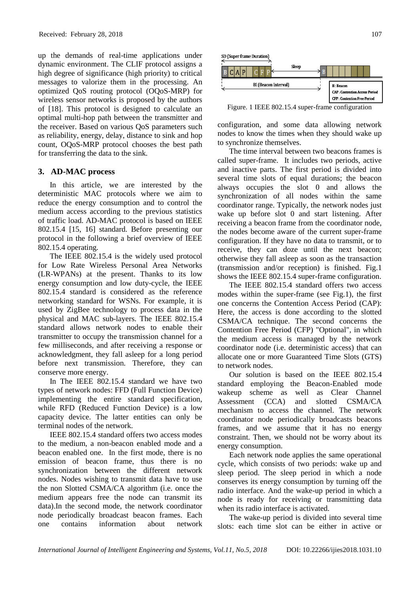up the demands of real-time applications under dynamic environment. The CLIF protocol assigns a high degree of significance (high priority) to critical messages to valorize them in the processing. An optimized QoS routing protocol (OQoS-MRP) for wireless sensor networks is proposed by the authors of [18]. This protocol is designed to calculate an optimal multi-hop path between the transmitter and the receiver. Based on various QoS parameters such as reliability, energy, delay, distance to sink and hop count, OQoS-MRP protocol chooses the best path for transferring the data to the sink.

## **3. AD-MAC process**

In this article, we are interested by the deterministic MAC protocols where we aim to reduce the energy consumption and to control the medium access according to the previous statistics of traffic load. AD-MAC protocol is based on IEEE 802.15.4 [15, 16] standard. Before presenting our protocol in the following a brief overview of IEEE 802.15.4 operating.

The IEEE 802.15.4 is the widely used protocol for Low Rate Wireless Personal Area Networks (LR-WPANs) at the present. Thanks to its low energy consumption and low duty-cycle, the IEEE 802.15.4 standard is considered as the reference networking standard for WSNs. For example, it is used by ZigBee technology to process data in the physical and MAC sub-layers. The IEEE 802.15.4 standard allows network nodes to enable their transmitter to occupy the transmission channel for a few milliseconds, and after receiving a response or acknowledgment, they fall asleep for a long period before next transmission. Therefore, they can conserve more energy.

In The IEEE 802.15.4 standard we have two types of network nodes: FFD (Full Function Device) implementing the entire standard specification, while RFD (Reduced Function Device) is a low capacity device. The latter entities can only be terminal nodes of the network.

IEEE 802.15.4 standard offers two access modes to the medium, a non-beacon enabled mode and a beacon enabled one. In the first mode, there is no emission of beacon frame, thus there is no synchronization between the different network nodes. Nodes wishing to transmit data have to use the non Slotted CSMA/CA algorithm (i.e. once the medium appears free the node can transmit its data).In the second mode, the network coordinator node periodically broadcast beacon frames. Each one contains information about network



Figure. 1 IEEE 802.15.4 super-frame configuration

configuration, and some data allowing network nodes to know the times when they should wake up to synchronize themselves.

The time interval between two beacons frames is called super-frame. It includes two periods, active and inactive parts. The first period is divided into several time slots of equal durations; the beacon always occupies the slot 0 and allows the synchronization of all nodes within the same coordinator range. Typically, the network nodes just wake up before slot 0 and start listening. After receiving a beacon frame from the coordinator node, the nodes become aware of the current super-frame configuration. If they have no data to transmit, or to receive, they can doze until the next beacon; otherwise they fall asleep as soon as the transaction (transmission and/or reception) is finished. Fig.1 shows the IEEE 802.15.4 super-frame configuration.

The IEEE 802.15.4 standard offers two access modes within the super-frame (see Fig.1), the first one concerns the Contention Access Period (CAP): Here, the access is done according to the slotted CSMA/CA technique. The second concerns the Contention Free Period (CFP) "Optional", in which the medium access is managed by the network coordinator node (i.e. deterministic access) that can allocate one or more Guaranteed Time Slots (GTS) to network nodes.

Our solution is based on the IEEE 802.15.4 standard employing the Beacon-Enabled mode wakeup scheme as well as Clear Channel Assessment (CCA) and slotted CSMA/CA mechanism to access the channel. The network coordinator node periodically broadcasts beacons frames, and we assume that it has no energy constraint. Then, we should not be worry about its energy consumption.

Each network node applies the same operational cycle, which consists of two periods: wake up and sleep period. The sleep period in which a node conserves its energy consumption by turning off the radio interface. And the wake-up period in which a node is ready for receiving or transmitting data when its radio interface is activated.

The wake-up period is divided into several time slots: each time slot can be either in active or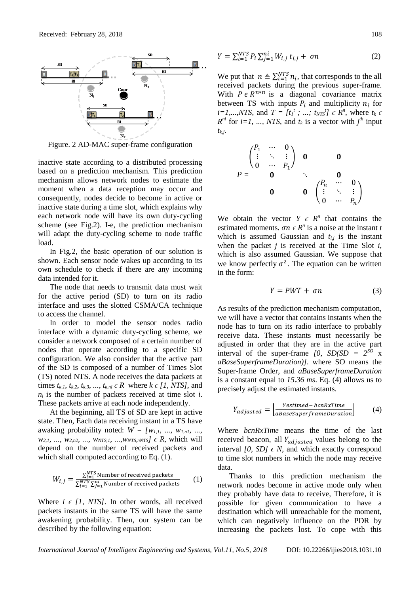

Figure. 2 AD-MAC super-frame configuration

inactive state according to a distributed processing based on a prediction mechanism. This prediction mechanism allows network nodes to estimate the moment when a data reception may occur and consequently, nodes decide to become in active or inactive state during a time slot, which explains why each network node will have its own duty-cycling scheme (see Fig.2). I-e, the prediction mechanism will adapt the duty-cycling scheme to node traffic load.

In Fig.2, the basic operation of our solution is shown. Each sensor node wakes up according to its own schedule to check if there are any incoming data intended for it.

The node that needs to transmit data must wait for the active period (SD) to turn on its radio interface and uses the slotted CSMA/CA technique to access the channel.

In order to model the sensor nodes radio interface with a dynamic duty-cycling scheme, we consider a network composed of a certain number of nodes that operate according to a specific SD configuration. We also consider that the active part of the SD is composed of a number of Times Slot (TS) noted NTS. A node receives the data packets at times  $t_{k,1}$ ,  $t_{k,2}$ ,  $t_{k,3}$ , ...,  $t_{k,ni} \in R$  where  $k \in [1, NTS]$ , and *n<sup>i</sup>* is the number of packets received at time slot *i*. These packets arrive at each node independently.

At the beginning, all TS of SD are kept in active state. Then, Each data receiving instant in a TS have awaking probability noted:  $W = \{w_{1,1}, \ldots, w_{1,n}\}$ , ..., *w2,1, ..., w2,n2, ..., wNTS,1, ...,wNTS,nNTS] ϵ R*, which will depend on the number of received packets and which shall computed according to Eq.  $(1)$ .

$$
W_{i,j} = \frac{\sum_{i=1}^{NTS} \text{Number of received packets}}{\sum_{i=1}^{NTS} \sum_{j=1}^{ni} \text{Number of received packets}}
$$
 (1)

Where  $i \in [1, NTS]$ . In other words, all received packets instants in the same TS will have the same awakening probability. Then, our system can be described by the following equation:

$$
Y = \sum_{i=1}^{NTS} P_i \sum_{j=1}^{ni} W_{i,j} t_{i,j} + \sigma n
$$
 (2)

We put that  $n \triangleq \sum_{i=1}^{NTS} n_i$ , that corresponds to the all received packets during the previous super-frame. With  $P \in R^{n*n}$  is a diagonal covariance matrix between TS with inputs  $P_i$  and multiplicity  $n_i$  for  $i=1,...,NTS$ , and  $T = [t_1^t; ..., t_{NTS}^t] \in R^n$ , where  $t_k \in R$  $R^{ni}$  for *i*=1, ..., *NTS*, and  $t_k$  is a vector with  $j^{th}$  input *tk,j*.

$$
P = \begin{pmatrix} P_1 & \cdots & 0 \\ \vdots & \ddots & \vdots \\ 0 & \cdots & P_1 \end{pmatrix} \quad \mathbf{0} \qquad \mathbf{0}
$$
\n
$$
P = \begin{pmatrix} P_1 & \cdots & 0 \\ 0 & \ddots & \vdots \\ 0 & 0 & \begin{pmatrix} P_n & \cdots & 0 \\ \vdots & \ddots & \vdots \\ 0 & \cdots & P_n \end{pmatrix} \end{pmatrix}
$$

We obtain the vector  $Y \in R^n$  that contains the estimated moments.  $\sigma n \in \mathbb{R}^n$  is a noise at the instant *t* which is assumed Gaussian and  $t_{i,j}$  is the instant when the packet  $j$  is received at the Time Slot  $i$ , which is also assumed Gaussian. We suppose that we know perfectly  $\sigma^2$ . The equation can be written in the form:

$$
Y = PWT + \sigma n \tag{3}
$$

As results of the prediction mechanism computation, we will have a vector that contains instants when the node has to turn on its radio interface to probably receive data. These instants must necessarily be adjusted in order that they are in the active part interval of the super-frame  $[0, SD(SD = 2^{SO} x$ *aBaseSuperframeDuration)].* where SO means the Super-frame Order, and *aBaseSuperframeDuration* is a constant equal to *15.36 ms*. Eq. (4) allows us to precisely adjust the estimated instants.

$$
Y_{adjusted} = \left| \frac{Testimed - bcnRxTime}{aBaseSuperframeDuration} \right| \tag{4}
$$

Where *bcnRxTime* means the time of the last received beacon, all  $Y_{adiasted}$  values belong to the interval *[0, SD]*  $\epsilon$  *N*, and which exactly correspond to time slot numbers in which the node may receive data.

Thanks to this prediction mechanism the network nodes become in active mode only when they probably have data to receive, Therefore, it is possible for given communication to have a destination which will unreachable for the moment, which can negatively influence on the PDR by increasing the packets lost. To cope with this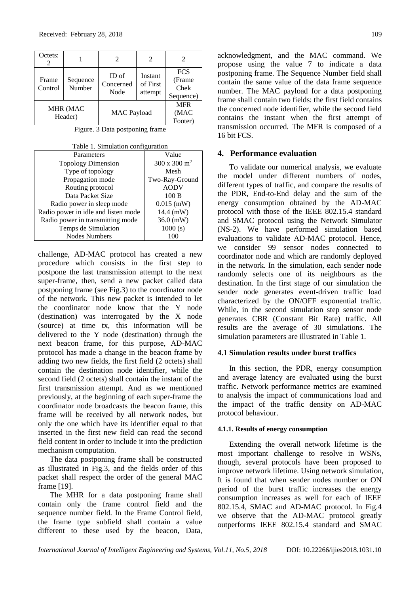| Octets:             |                    |                            | 2                              | $\mathcal{D}_{\mathcal{L}}$                |
|---------------------|--------------------|----------------------------|--------------------------------|--------------------------------------------|
| Frame<br>Control    | Sequence<br>Number | ID of<br>Concerned<br>Node | Instant<br>of First<br>attempt | <b>FCS</b><br>(Frame)<br>Chek<br>Sequence) |
| MHR (MAC<br>Header) |                    | <b>MAC</b> Payload         |                                | <b>MFR</b><br>(MAC<br>Footer)              |

Figure. 3 Data postponing frame

Table 1. Simulation configuration

| Parameters                          | Value                        |  |
|-------------------------------------|------------------------------|--|
|                                     |                              |  |
| <b>Topology Dimension</b>           | $300 \times 300 \text{ m}^2$ |  |
| Type of topology                    | Mesh                         |  |
| Propagation mode                    | Two-Ray-Ground               |  |
| Routing protocol                    | <b>AODV</b>                  |  |
| Data Packet Size                    | 100B                         |  |
| Radio power in sleep mode           | $0.015$ (mW)                 |  |
| Radio power in idle and listen mode | $14.4$ (mW)                  |  |
| Radio power in transmitting mode    | $36.0$ (mW)                  |  |
| Temps de Simulation                 | 1000(s)                      |  |
| <b>Nodes Numbers</b>                | 100                          |  |

challenge, AD-MAC protocol has created a new procedure which consists in the first step to postpone the last transmission attempt to the next super-frame, then, send a new packet called data postponing frame (see Fig.3) to the coordinator node of the network. This new packet is intended to let the coordinator node know that the Y node (destination) was interrogated by the X node (source) at time tx, this information will be delivered to the Y node (destination) through the next beacon frame, for this purpose, AD-MAC protocol has made a change in the beacon frame by adding two new fields, the first field (2 octets) shall contain the destination node identifier, while the second field (2 octets) shall contain the instant of the first transmission attempt. And as we mentioned previously, at the beginning of each super-frame the coordinator node broadcasts the beacon frame, this frame will be received by all network nodes, but only the one which have its identifier equal to that inserted in the first new field can read the second field content in order to include it into the prediction mechanism computation.

The data postponing frame shall be constructed as illustrated in Fig.3, and the fields order of this packet shall respect the order of the general MAC frame [19].

The MHR for a data postponing frame shall contain only the frame control field and the sequence number field. In the Frame Control field, the frame type subfield shall contain a value different to these used by the beacon, Data, acknowledgment, and the MAC command. We propose using the value 7 to indicate a data postponing frame. The Sequence Number field shall contain the same value of the data frame sequence number. The MAC payload for a data postponing frame shall contain two fields: the first field contains the concerned node identifier, while the second field contains the instant when the first attempt of transmission occurred. The MFR is composed of a 16 bit FCS.

### **4. Performance evaluation**

To validate our numerical analysis, we evaluate the model under different numbers of nodes, different types of traffic, and compare the results of the PDR, End-to-End delay and the sum of the energy consumption obtained by the AD-MAC protocol with those of the IEEE 802.15.4 standard and SMAC protocol using the Network Simulator (NS-2). We have performed simulation based evaluations to validate AD-MAC protocol. Hence, we consider 99 sensor nodes connected to coordinator node and which are randomly deployed in the network. In the simulation, each sender node randomly selects one of its neighbours as the destination. In the first stage of our simulation the sender node generates event-driven traffic load characterized by the ON/OFF exponential traffic. While, in the second simulation step sensor node generates CBR (Constant Bit Rate) traffic. All results are the average of 30 simulations. The simulation parameters are illustrated in Table 1.

## **4.1 Simulation results under burst traffics**

In this section, the PDR, energy consumption and average latency are evaluated using the burst traffic. Network performance metrics are examined to analysis the impact of communications load and the impact of the traffic density on AD-MAC protocol behaviour.

#### **4.1.1. Results of energy consumption**

Extending the overall network lifetime is the most important challenge to resolve in WSNs, though, several protocols have been proposed to improve network lifetime. Using network simulation, It is found that when sender nodes number or ON period of the burst traffic increases the energy consumption increases as well for each of IEEE 802.15.4, SMAC and AD-MAC protocol. In Fig.4 we observe that the AD-MAC protocol greatly outperforms IEEE 802.15.4 standard and SMAC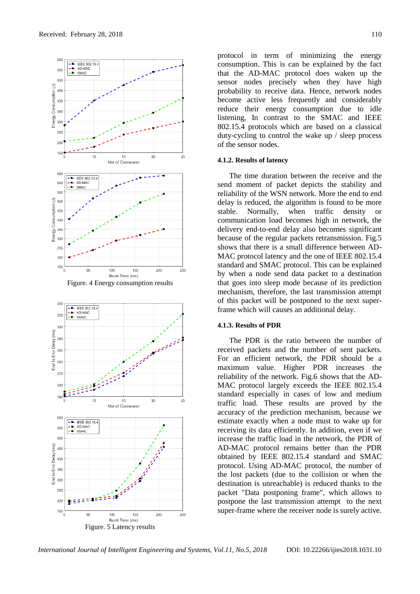

protocol in term of minimizing the energy consumption. This is can be explained by the fact that the AD-MAC protocol does waken up the sensor nodes precisely when they have high probability to receive data. Hence, network nodes become active less frequently and considerably reduce their energy consumption due to idle listening, In contrast to the SMAC and IEEE 802.15.4 protocols which are based on a classical duty-cycling to control the wake up / sleep process of the sensor nodes.

#### **4.1.2. Results of latency**

The time duration between the receive and the send moment of packet depicts the stability and reliability of the WSN network. More the end to end delay is reduced, the algorithm is found to be more stable. Normally, when traffic density or communication load becomes high in network, the delivery end-to-end delay also becomes significant because of the regular packets retransmission. Fig.5 shows that there is a small difference between AD-MAC protocol latency and the one of IEEE 802.15.4 standard and SMAC protocol. This can be explained by when a node send data packet to a destination that goes into sleep mode because of its prediction mechanism, therefore, the last transmission attempt of this packet will be postponed to the next superframe which will causes an additional delay.

## **4.1.3. Results of PDR**

The PDR is the ratio between the number of received packets and the number of sent packets. For an efficient network, the PDR should be a maximum value. Higher PDR increases the reliability of the network. Fig.6 shows that the AD-MAC protocol largely exceeds the IEEE 802.15.4 standard especially in cases of low and medium traffic load. These results are proved by the accuracy of the prediction mechanism, because we estimate exactly when a node must to wake up for receiving its data efficiently. In addition, even if we increase the traffic load in the network, the PDR of AD-MAC protocol remains better than the PDR obtained by IEEE 802.15.4 standard and SMAC protocol. Using AD-MAC protocol, the number of the lost packets (due to the collision or when the destination is unreachable) is reduced thanks to the packet "Data postponing frame", which allows to postpone the last transmission attempt to the next super-frame where the receiver node is surely active.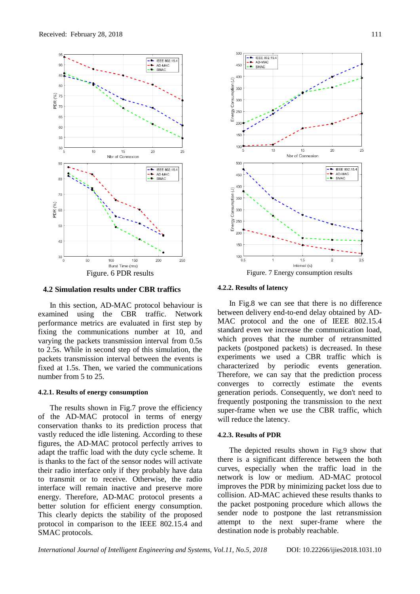

**4.2 Simulation results under CBR traffics**

In this section, AD-MAC protocol behaviour is examined using the CBR traffic. Network performance metrics are evaluated in first step by fixing the communications number at 10, and varying the packets transmission interval from 0.5s to 2.5s. While in second step of this simulation, the packets transmission interval between the events is fixed at 1.5s. Then, we varied the communications number from 5 to 25.

#### **4.2.1. Results of energy consumption**

The results shown in Fig.7 prove the efficiency of the AD-MAC protocol in terms of energy conservation thanks to its prediction process that vastly reduced the idle listening. According to these figures, the AD-MAC protocol perfectly arrives to adapt the traffic load with the duty cycle scheme. It is thanks to the fact of the sensor nodes will activate their radio interface only if they probably have data to transmit or to receive. Otherwise, the radio interface will remain inactive and preserve more energy. Therefore, AD-MAC protocol presents a better solution for efficient energy consumption. This clearly depicts the stability of the proposed protocol in comparison to the IEEE 802.15.4 and SMAC protocols.



#### **4.2.2. Results of latency**

In Fig.8 we can see that there is no difference between delivery end-to-end delay obtained by AD-MAC protocol and the one of IEEE 802.15.4 standard even we increase the communication load, which proves that the number of retransmitted packets (postponed packets) is decreased. In these experiments we used a CBR traffic which is characterized by periodic events generation. Therefore, we can say that the prediction process converges to correctly estimate the events generation periods. Consequently, we don't need to frequently postponing the transmission to the next super-frame when we use the CBR traffic, which will reduce the latency.

#### **4.2.3. Results of PDR**

The depicted results shown in Fig.9 show that there is a significant difference between the both curves, especially when the traffic load in the network is low or medium. AD-MAC protocol improves the PDR by minimizing packet loss due to collision. AD-MAC achieved these results thanks to the packet postponing procedure which allows the sender node to postpone the last retransmission attempt to the next super-frame where the destination node is probably reachable.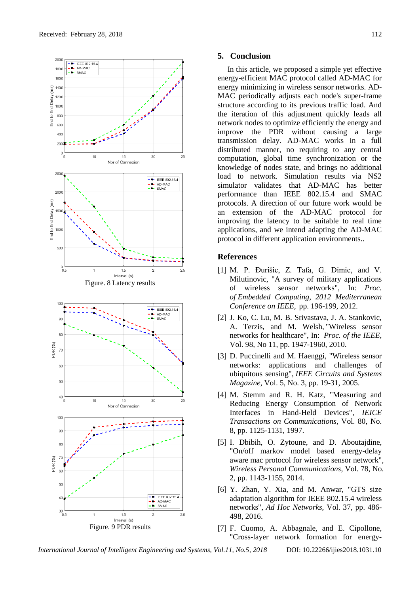

### **5. Conclusion**

In this article, we proposed a simple yet effective energy-efficient MAC protocol called AD-MAC for energy minimizing in wireless sensor networks. AD-MAC periodically adjusts each node's super-frame structure according to its previous traffic load. And the iteration of this adjustment quickly leads all network nodes to optimize efficiently the energy and improve the PDR without causing a large transmission delay. AD-MAC works in a full distributed manner, no requiring to any central computation, global time synchronization or the knowledge of nodes state, and brings no additional load to network. Simulation results via NS2 simulator validates that AD-MAC has better performance than IEEE 802.15.4 and SMAC protocols. A direction of our future work would be an extension of the AD-MAC protocol for improving the latency to be suitable to real time applications, and we intend adapting the AD-MAC protocol in different application environments..

## **References**

- [1] M. P. Ðurišic, Z. Tafa, G. Dimic, and V. Milutinovic, "A survey of military applications of wireless sensor networks", In: *Proc. of Embedded Computing, 2012 Mediterranean Conference on IEEE*, pp. 196-199, 2012.
- [2] J. Ko, C. Lu, M. B. Srivastava, J. A. Stankovic, A. Terzis, and M. Welsh, "Wireless sensor networks for healthcare", In: *Proc. of the IEEE*, Vol. 98, No 11, pp. 1947-1960, 2010.
- [3] D. Puccinelli and M. Haenggi, "Wireless sensor networks: applications and challenges of ubiquitous sensing", *IEEE Circuits and Systems Magazine*, Vol. 5, No. 3, pp. 19-31, 2005.
- [4] M. Stemm and R. H. Katz, "Measuring and Reducing Energy Consumption of Network Interfaces in Hand-Held Devices", *IEICE Transactions on Communications*, Vol. 80, No. 8, pp. 1125-1131, 1997.
- [5] I. Dbibih, O. Zytoune, and D. Aboutajdine, "On/off markov model based energy-delay aware mac protocol for wireless sensor network", *Wireless Personal Communications,* Vol. 78, No. 2, pp. 1143-1155, 2014.
- [6] Y. Zhan, Y. Xia, and M. Anwar, "GTS size adaptation algorithm for IEEE 802.15.4 wireless networks", *Ad Hoc Networks,* Vol. 37, pp. 486- 498, 2016.
- [7] F. Cuomo, A. Abbagnale, and E. Cipollone, "Cross-layer network formation for energy-